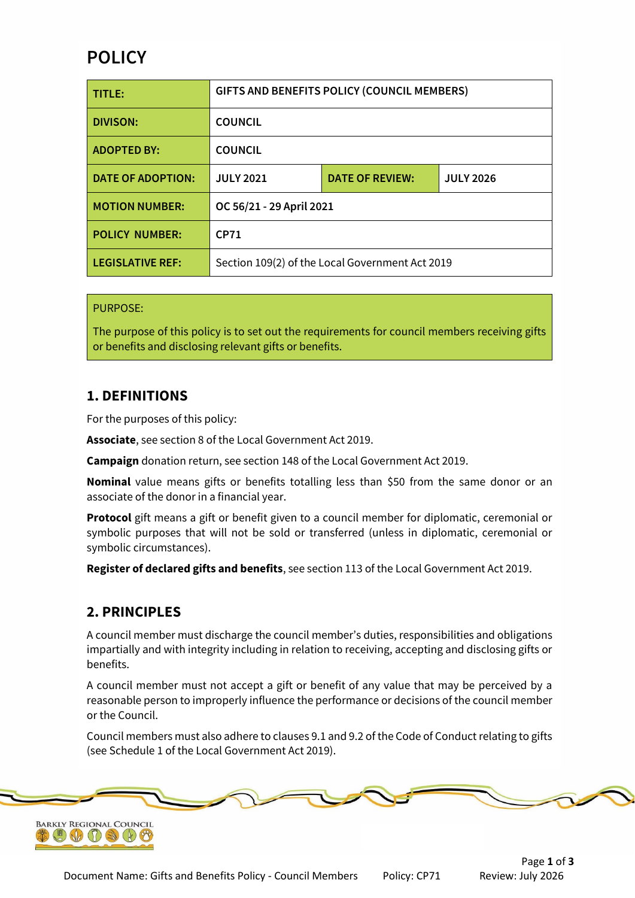# **POLICY**

| TITLE:                   | GIFTS AND BENEFITS POLICY (COUNCIL MEMBERS)     |                        |                  |
|--------------------------|-------------------------------------------------|------------------------|------------------|
| <b>DIVISON:</b>          | <b>COUNCIL</b>                                  |                        |                  |
| <b>ADOPTED BY:</b>       | <b>COUNCIL</b>                                  |                        |                  |
| <b>DATE OF ADOPTION:</b> | <b>JULY 2021</b>                                | <b>DATE OF REVIEW:</b> | <b>JULY 2026</b> |
| <b>MOTION NUMBER:</b>    | OC 56/21 - 29 April 2021                        |                        |                  |
| <b>POLICY NUMBER:</b>    | <b>CP71</b>                                     |                        |                  |
| <b>LEGISLATIVE REF:</b>  | Section 109(2) of the Local Government Act 2019 |                        |                  |

#### PURPOSE:

The purpose of this policy is to set out the requirements for council members receiving gifts or benefits and disclosing relevant gifts or benefits.

### **1. DEFINITIONS**

For the purposes of this policy:

**Associate**, see section 8 of the Local Government Act 2019.

**Campaign** donation return, see section 148 of the Local Government Act 2019.

**Nominal** value means gifts or benefits totalling less than \$50 from the same donor or an associate of the donor in a financial year.

**Protocol** gift means a gift or benefit given to a council member for diplomatic, ceremonial or symbolic purposes that will not be sold or transferred (unless in diplomatic, ceremonial or symbolic circumstances).

**Register of declared gifts and benefits**, see section 113 of the Local Government Act 2019.

#### **2. PRINCIPLES**

A council member must discharge the council member's duties, responsibilities and obligations impartially and with integrity including in relation to receiving, accepting and disclosing gifts or benefits.

A council member must not accept a gift or benefit of any value that may be perceived by a reasonable person to improperly influence the performance or decisions of the council member or the Council.

Council members must also adhere to clauses 9.1 and 9.2 of the Code of Conduct relating to gifts (see Schedule 1 of the Local Government Act 2019).

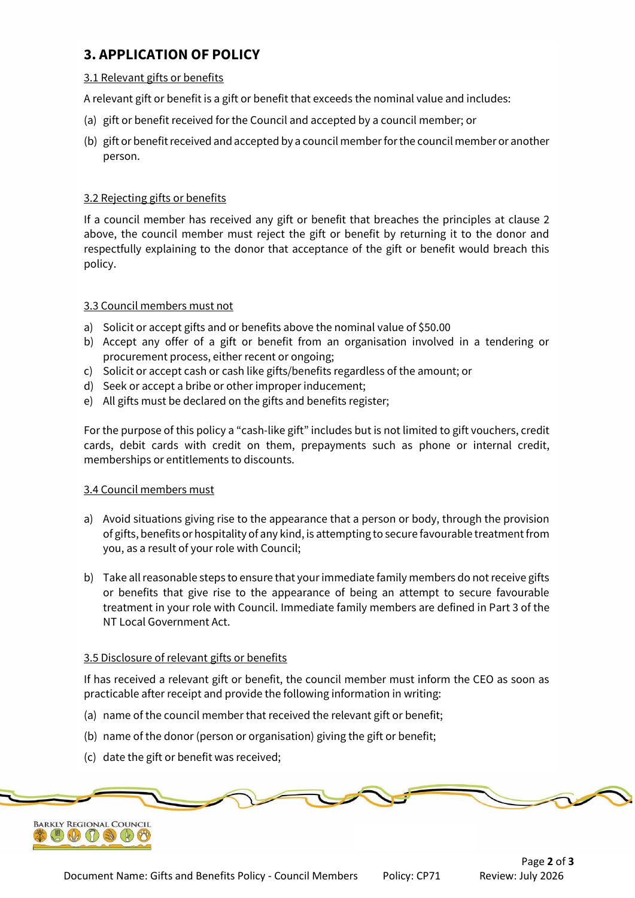## **3. APPLICATION OF POLICY**

#### 3.1 Relevant gifts or benefits

A relevant gift or benefit is a gift or benefit that exceeds the nominal value and includes:

- (a) gift or benefit received for the Council and accepted by a council member; or
- (b) gift or benefit received and accepted by a council member for the council member or another person.

#### 3.2 Rejecting gifts or benefits

If a council member has received any gift or benefit that breaches the principles at clause 2 above, the council member must reject the gift or benefit by returning it to the donor and respectfully explaining to the donor that acceptance of the gift or benefit would breach this policy.

#### 3.3 Council members must not

- a) Solicit or accept gifts and or benefits above the nominal value of \$50.00
- b) Accept any offer of a gift or benefit from an organisation involved in a tendering or procurement process, either recent or ongoing;
- c) Solicit or accept cash or cash like gifts/benefits regardless of the amount; or
- d) Seek or accept a bribe or other improper inducement;
- e) All gifts must be declared on the gifts and benefits register;

For the purpose of this policy a "cash-like gift" includes but is not limited to gift vouchers, credit cards, debit cards with credit on them, prepayments such as phone or internal credit, memberships or entitlements to discounts.

#### 3.4 Council members must

- a) Avoid situations giving rise to the appearance that a person or body, through the provision of gifts, benefits or hospitality of any kind, is attempting to secure favourable treatment from you, as a result of your role with Council;
- b) Take all reasonable steps to ensure that your immediate family members do not receive gifts or benefits that give rise to the appearance of being an attempt to secure favourable treatment in your role with Council. Immediate family members are defined in Part 3 of the NT Local Government Act.

#### 3.5 Disclosure of relevant gifts or benefits

If has received a relevant gift or benefit, the council member must inform the CEO as soon as practicable after receipt and provide the following information in writing:

- (a) name of the council member that received the relevant gift or benefit;
- (b) name of the donor (person or organisation) giving the gift or benefit;
- (c) date the gift or benefit was received;